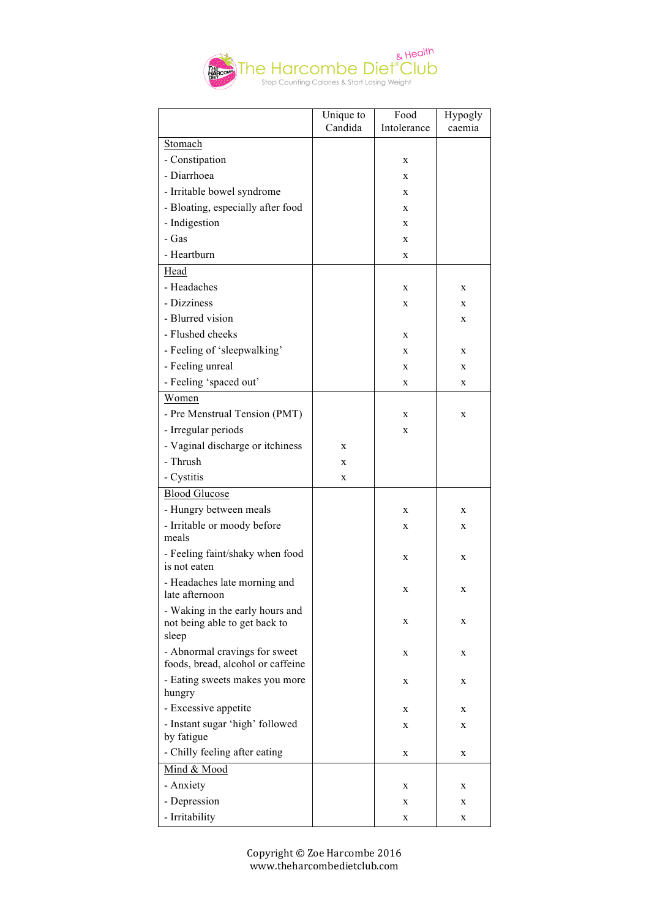

|                                                                           | Unique to<br>Candida | Food<br>Intolerance | Hypogly<br>caemia |
|---------------------------------------------------------------------------|----------------------|---------------------|-------------------|
| Stomach                                                                   |                      |                     |                   |
| - Constipation                                                            |                      | X                   |                   |
| - Diarrhoea                                                               |                      | X                   |                   |
| - Irritable bowel syndrome                                                |                      | X                   |                   |
| - Bloating, especially after food                                         |                      | X                   |                   |
| - Indigestion                                                             |                      | X                   |                   |
| - Gas                                                                     |                      | X                   |                   |
| - Heartburn                                                               |                      | X                   |                   |
| Head                                                                      |                      |                     |                   |
| - Headaches                                                               |                      | X                   | X                 |
| - Dizziness                                                               |                      | X                   | X                 |
| - Blurred vision                                                          |                      |                     | X                 |
| - Flushed cheeks                                                          |                      | X                   |                   |
| - Feeling of 'sleepwalking'                                               |                      | X                   | X                 |
| - Feeling unreal                                                          |                      | X                   | X                 |
| - Feeling 'spaced out'                                                    |                      | X                   | X                 |
| Women                                                                     |                      |                     |                   |
| - Pre Menstrual Tension (PMT)                                             |                      | X                   | X                 |
| - Irregular periods                                                       |                      | X                   |                   |
| - Vaginal discharge or itchiness                                          | X                    |                     |                   |
| - Thrush                                                                  | X                    |                     |                   |
| - Cystitis                                                                | X                    |                     |                   |
| <b>Blood Glucose</b>                                                      |                      |                     |                   |
| - Hungry between meals                                                    |                      | X                   | X                 |
| - Irritable or moody before<br>meals                                      |                      | X                   | X                 |
| - Feeling faint/shaky when food<br>is not eaten                           |                      | X                   | X                 |
| - Headaches late morning and<br>late afternoon                            |                      | X                   | X                 |
| - Waking in the early hours and<br>not being able to get back to<br>sleep |                      | X                   | X                 |
| - Abnormal cravings for sweet<br>foods, bread, alcohol or caffeine        |                      | X                   | X                 |
| - Eating sweets makes you more<br>hungry                                  |                      | X                   | X                 |
| - Excessive appetite                                                      |                      | X                   | X                 |
| - Instant sugar 'high' followed<br>by fatigue                             |                      | X                   | X                 |
| - Chilly feeling after eating                                             |                      | X                   | X                 |
| Mind & Mood                                                               |                      |                     |                   |
| - Anxiety                                                                 |                      | X                   | X                 |
| - Depression                                                              |                      | X                   | X                 |
| - Irritability                                                            |                      | X                   | X                 |

Copyright © Zoe Harcombe 2016 www.theharcombedietclub.com